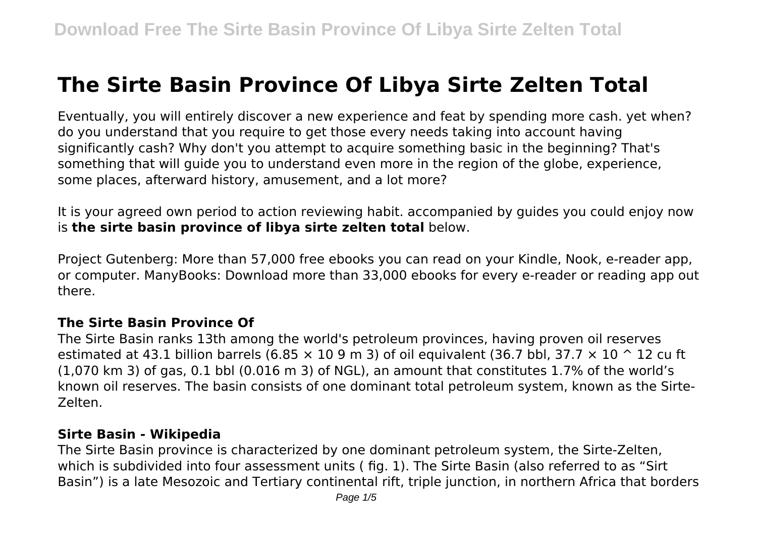# **The Sirte Basin Province Of Libya Sirte Zelten Total**

Eventually, you will entirely discover a new experience and feat by spending more cash. yet when? do you understand that you require to get those every needs taking into account having significantly cash? Why don't you attempt to acquire something basic in the beginning? That's something that will guide you to understand even more in the region of the globe, experience, some places, afterward history, amusement, and a lot more?

It is your agreed own period to action reviewing habit. accompanied by guides you could enjoy now is **the sirte basin province of libya sirte zelten total** below.

Project Gutenberg: More than 57,000 free ebooks you can read on your Kindle, Nook, e-reader app, or computer. ManyBooks: Download more than 33,000 ebooks for every e-reader or reading app out there.

## **The Sirte Basin Province Of**

The Sirte Basin ranks 13th among the world's petroleum provinces, having proven oil reserves estimated at 43.1 billion barrels (6.85  $\times$  10 9 m 3) of oil equivalent (36.7 bbl, 37.7  $\times$  10  $\degree$  12 cu ft (1,070 km 3) of gas, 0.1 bbl (0.016 m 3) of NGL), an amount that constitutes 1.7% of the world's known oil reserves. The basin consists of one dominant total petroleum system, known as the Sirte-Zelten.

## **Sirte Basin - Wikipedia**

The Sirte Basin province is characterized by one dominant petroleum system, the Sirte-Zelten, which is subdivided into four assessment units ( fig. 1). The Sirte Basin (also referred to as "Sirt Basin") is a late Mesozoic and Tertiary continental rift, triple junction, in northern Africa that borders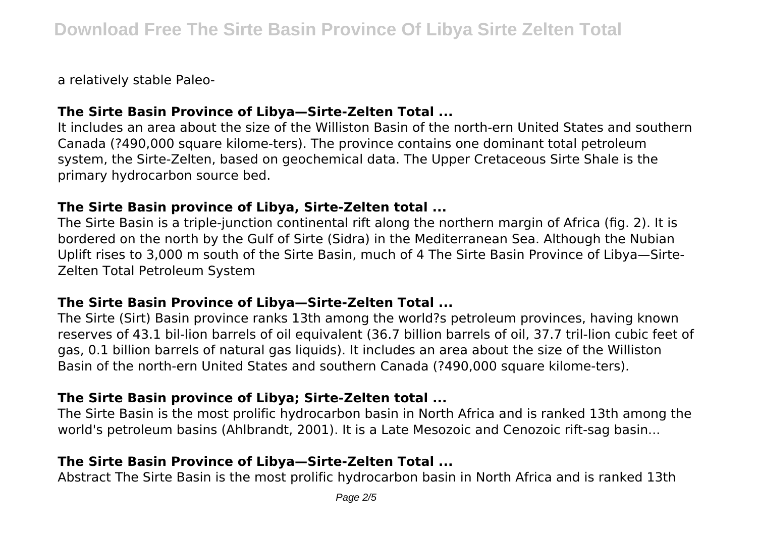a relatively stable Paleo-

# **The Sirte Basin Province of Libya—Sirte-Zelten Total ...**

It includes an area about the size of the Williston Basin of the north-ern United States and southern Canada (?490,000 square kilome-ters). The province contains one dominant total petroleum system, the Sirte-Zelten, based on geochemical data. The Upper Cretaceous Sirte Shale is the primary hydrocarbon source bed.

#### **The Sirte Basin province of Libya, Sirte-Zelten total ...**

The Sirte Basin is a triple-junction continental rift along the northern margin of Africa (fig. 2). It is bordered on the north by the Gulf of Sirte (Sidra) in the Mediterranean Sea. Although the Nubian Uplift rises to 3,000 m south of the Sirte Basin, much of 4 The Sirte Basin Province of Libya—Sirte-Zelten Total Petroleum System

# **The Sirte Basin Province of Libya—Sirte-Zelten Total ...**

The Sirte (Sirt) Basin province ranks 13th among the world?s petroleum provinces, having known reserves of 43.1 bil-lion barrels of oil equivalent (36.7 billion barrels of oil, 37.7 tril-lion cubic feet of gas, 0.1 billion barrels of natural gas liquids). It includes an area about the size of the Williston Basin of the north-ern United States and southern Canada (?490,000 square kilome-ters).

# **The Sirte Basin province of Libya; Sirte-Zelten total ...**

The Sirte Basin is the most prolific hydrocarbon basin in North Africa and is ranked 13th among the world's petroleum basins (Ahlbrandt, 2001). It is a Late Mesozoic and Cenozoic rift-sag basin...

# **The Sirte Basin Province of Libya—Sirte-Zelten Total ...**

Abstract The Sirte Basin is the most prolific hydrocarbon basin in North Africa and is ranked 13th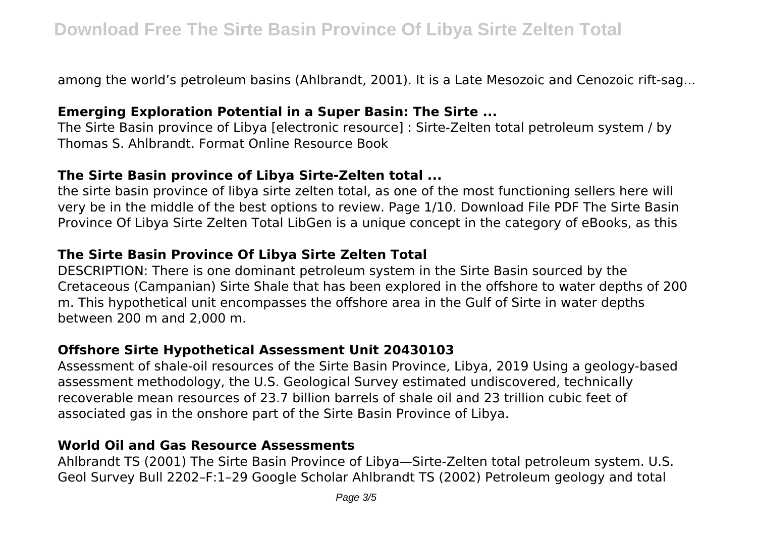among the world's petroleum basins (Ahlbrandt, 2001). It is a Late Mesozoic and Cenozoic rift-sag...

## **Emerging Exploration Potential in a Super Basin: The Sirte ...**

The Sirte Basin province of Libya [electronic resource] : Sirte-Zelten total petroleum system / by Thomas S. Ahlbrandt. Format Online Resource Book

## **The Sirte Basin province of Libya Sirte-Zelten total ...**

the sirte basin province of libya sirte zelten total, as one of the most functioning sellers here will very be in the middle of the best options to review. Page 1/10. Download File PDF The Sirte Basin Province Of Libya Sirte Zelten Total LibGen is a unique concept in the category of eBooks, as this

# **The Sirte Basin Province Of Libya Sirte Zelten Total**

DESCRIPTION: There is one dominant petroleum system in the Sirte Basin sourced by the Cretaceous (Campanian) Sirte Shale that has been explored in the offshore to water depths of 200 m. This hypothetical unit encompasses the offshore area in the Gulf of Sirte in water depths between 200 m and 2,000 m.

# **Offshore Sirte Hypothetical Assessment Unit 20430103**

Assessment of shale-oil resources of the Sirte Basin Province, Libya, 2019 Using a geology-based assessment methodology, the U.S. Geological Survey estimated undiscovered, technically recoverable mean resources of 23.7 billion barrels of shale oil and 23 trillion cubic feet of associated gas in the onshore part of the Sirte Basin Province of Libya.

# **World Oil and Gas Resource Assessments**

Ahlbrandt TS (2001) The Sirte Basin Province of Libya—Sirte-Zelten total petroleum system. U.S. Geol Survey Bull 2202–F:1–29 Google Scholar Ahlbrandt TS (2002) Petroleum geology and total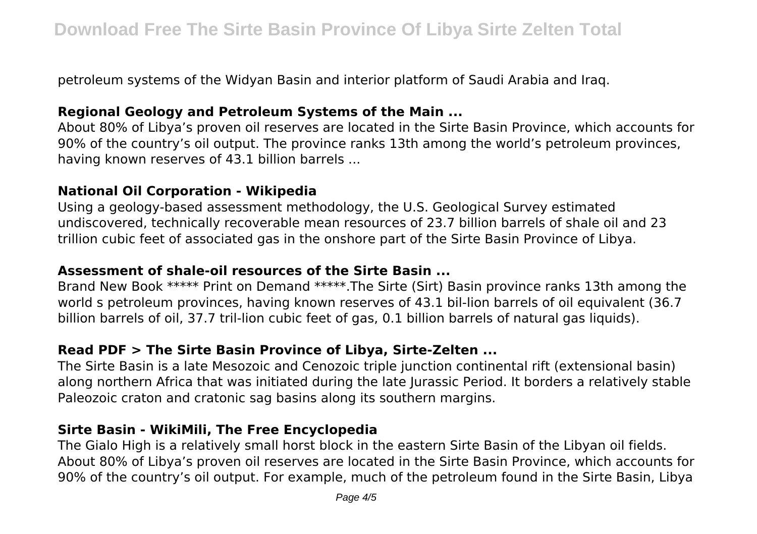petroleum systems of the Widyan Basin and interior platform of Saudi Arabia and Iraq.

# **Regional Geology and Petroleum Systems of the Main ...**

About 80% of Libya's proven oil reserves are located in the Sirte Basin Province, which accounts for 90% of the country's oil output. The province ranks 13th among the world's petroleum provinces, having known reserves of 43.1 billion barrels ...

## **National Oil Corporation - Wikipedia**

Using a geology-based assessment methodology, the U.S. Geological Survey estimated undiscovered, technically recoverable mean resources of 23.7 billion barrels of shale oil and 23 trillion cubic feet of associated gas in the onshore part of the Sirte Basin Province of Libya.

# **Assessment of shale-oil resources of the Sirte Basin ...**

Brand New Book \*\*\*\*\* Print on Demand \*\*\*\*\*.The Sirte (Sirt) Basin province ranks 13th among the world s petroleum provinces, having known reserves of 43.1 bil-lion barrels of oil equivalent (36.7 billion barrels of oil, 37.7 tril-lion cubic feet of gas, 0.1 billion barrels of natural gas liquids).

# **Read PDF > The Sirte Basin Province of Libya, Sirte-Zelten ...**

The Sirte Basin is a late Mesozoic and Cenozoic triple junction continental rift (extensional basin) along northern Africa that was initiated during the late Jurassic Period. It borders a relatively stable Paleozoic craton and cratonic sag basins along its southern margins.

# **Sirte Basin - WikiMili, The Free Encyclopedia**

The Gialo High is a relatively small horst block in the eastern Sirte Basin of the Libyan oil fields. About 80% of Libya's proven oil reserves are located in the Sirte Basin Province, which accounts for 90% of the country's oil output. For example, much of the petroleum found in the Sirte Basin, Libya